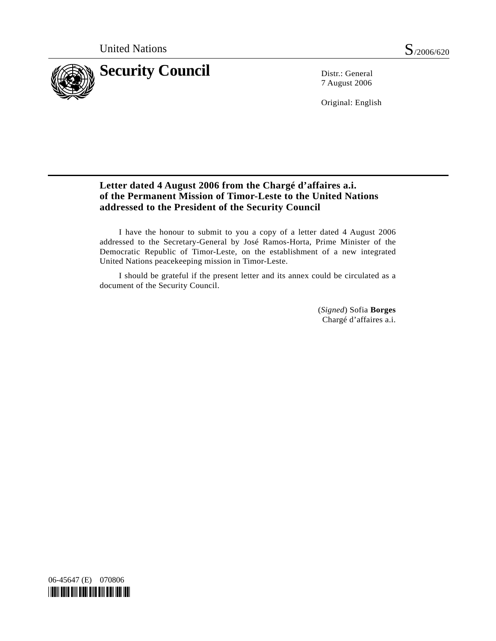

7 August 2006

Original: English

## **Letter dated 4 August 2006 from the Chargé d'affaires a.i. of the Permanent Mission of Timor-Leste to the United Nations addressed to the President of the Security Council**

 I have the honour to submit to you a copy of a letter dated 4 August 2006 addressed to the Secretary-General by José Ramos-Horta, Prime Minister of the Democratic Republic of Timor-Leste, on the establishment of a new integrated United Nations peacekeeping mission in Timor-Leste.

 I should be grateful if the present letter and its annex could be circulated as a document of the Security Council.

> (*Signed*) Sofia **Borges** Chargé d'affaires a.i.